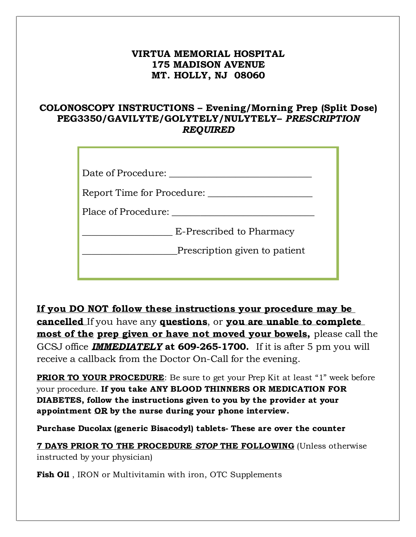# **VIRTUA MEMORIAL HOSPITAL 175 MADISON AVENUE MT. HOLLY, NJ 08060**

# **COLONOSCOPY INSTRUCTIONS – Evening/Morning Prep (Split Dose) PEG3350/GAVILYTE/GOLYTELY/NULYTELY–** *PRESCRIPTION REQUIRED*

| Date of Procedure:            |
|-------------------------------|
| Report Time for Procedure:    |
| Place of Procedure:           |
| E-Prescribed to Pharmacy      |
| Prescription given to patient |
|                               |

**If you DO NOT follow these instructions your procedure may be cancelled** If you have any **questions**, or **you are unable to complete most of the prep given or have not moved your bowels,** please call the GCSJ office *IMMEDIATELY* **at 609-265-1700.** If it is after 5 pm you will receive a callback from the Doctor On-Call for the evening.

**PRIOR TO YOUR PROCEDURE**: Be sure to get your Prep Kit at least "1" week before your procedure. **If you take ANY BLOOD THINNERS OR MEDICATION FOR DIABETES, follow the instructions given to you by the provider at your appointment OR by the nurse during your phone interview.**

**Purchase Ducolax (generic Bisacodyl) tablets- These are over the counter**

**7 DAYS PRIOR TO THE PROCEDURE** *STOP* **THE FOLLOWING** (Unless otherwise instructed by your physician)

**Fish Oil**, IRON or Multivitamin with iron, OTC Supplements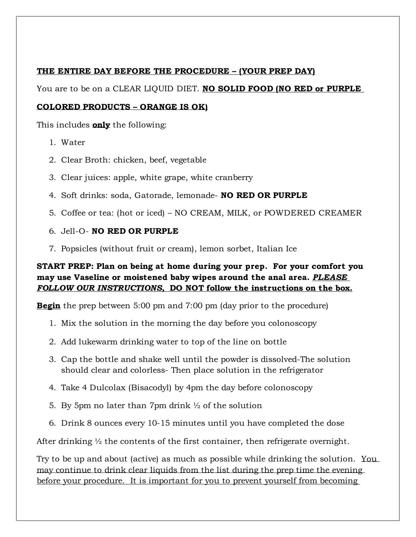#### **THE ENTIRE DAY BEFORE THE PROCEDURE – (YOUR PREP DAY)**

You are to be on a CLEAR LIQUID DIET. **NO SOLID FOOD (NO RED or PURPLE** 

#### **COLORED PRODUCTS – ORANGE IS OK)**

This includes **only** the following:

- 1. Water
- 2. Clear Broth: chicken, beef, vegetable
- 3. Clear juices: apple, white grape, white cranberry
- 4. Soft drinks: soda, Gatorade, lemonade- **NO RED OR PURPLE**
- 5. Coffee or tea: (hot or iced) NO CREAM, MILK, or POWDERED CREAMER
- 6. Jell-O- **NO RED OR PURPLE**
- 7. Popsicles (without fruit or cream), lemon sorbet, Italian Ice

### **START PREP: Plan on being at home during your prep. For your comfort you may use Vaseline or moistened baby wipes around the anal area.** *PLEASE FOLLOW OUR INSTRUCTIONS,* **DO NOT follow the instructions on the box.**

**Begin** the prep between 5:00 pm and 7:00 pm (day prior to the procedure)

- 1. Mix the solution in the morning the day before you colonoscopy
- 2. Add lukewarm drinking water to top of the line on bottle
- 3. Cap the bottle and shake well until the powder is dissolved-The solution should clear and colorless- Then place solution in the refrigerator
- 4. Take 4 Dulcolax (Bisacodyl) by 4pm the day before colonoscopy
- 5. By 5pm no later than 7pm drink  $\frac{1}{2}$  of the solution
- 6. Drink 8 ounces every 10-15 minutes until you have completed the dose

After drinking  $\frac{1}{2}$  the contents of the first container, then refrigerate overnight.

Try to be up and about (active) as much as possible while drinking the solution. You may continue to drink clear liquids from the list during the prep time the evening before your procedure. It is important for you to prevent yourself from becoming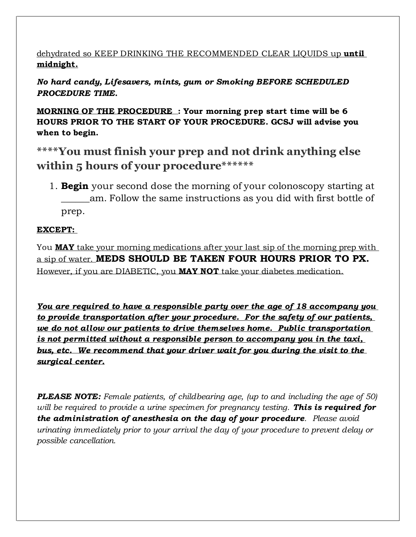## dehydrated so KEEP DRINKING THE RECOMMENDED CLEAR LIQUIDS up **until midnight.**

## *No hard candy, Lifesavers, mints, gum or Smoking BEFORE SCHEDULED PROCEDURE TIME.*

**MORNING OF THE PROCEDURE : Your morning prep start time will be 6 HOURS PRIOR TO THE START OF YOUR PROCEDURE. GCSJ will advise you when to begin.**

**\*\*\*\*You must finish your prep and not drink anything else within 5 hours of your procedure\*\*\*\*\*\***

1. **Begin** your second dose the morning of your colonoscopy starting at am. Follow the same instructions as you did with first bottle of prep.

### **EXCEPT:**

You **MAY** take your morning medications after your last sip of the morning prep with a sip of water. **MEDS SHOULD BE TAKEN FOUR HOURS PRIOR TO PX.** However, if you are DIABETIC, you **MAY NOT** take your diabetes medication.

*You are required to have a responsible party over the age of 18 accompany you to provide transportation after your procedure. For the safety of our patients, we do not allow our patients to drive themselves home. Public transportation is not permitted without a responsible person to accompany you in the taxi, bus, etc. We recommend that your driver wait for you during the visit to the surgical center.*

**PLEASE NOTE:** Female patients, of childbearing age, (up to and including the age of 50) *will be required to provide a urine specimen for pregnancy testing. This is required for the administration of anesthesia on the day of your procedure. Please avoid urinating immediately prior to your arrival the day of your procedure to prevent delay or possible cancellation.*